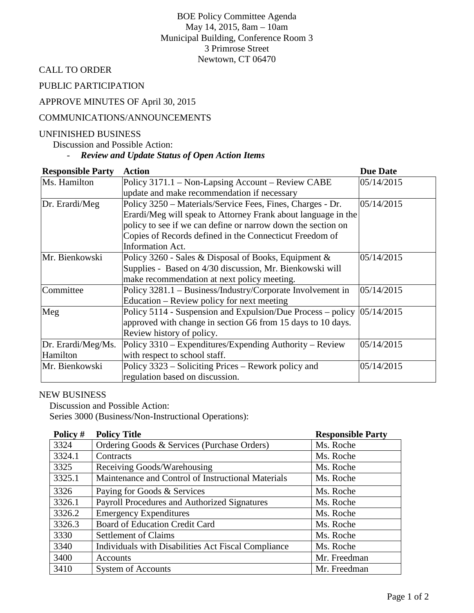BOE Policy Committee Agenda May 14, 2015, 8am – 10am Municipal Building, Conference Room 3 3 Primrose Street Newtown, CT 06470

CALL TO ORDER

PUBLIC PARTICIPATION

### APPROVE MINUTES OF April 30, 2015

#### COMMUNICATIONS/ANNOUNCEMENTS

### UNFINISHED BUSINESS

Discussion and Possible Action:

# - *Review and Update Status of Open Action Items*

| <b>Responsible Party</b> | <b>Action</b>                                                              | <b>Due Date</b> |
|--------------------------|----------------------------------------------------------------------------|-----------------|
| Ms. Hamilton             | Policy 3171.1 – Non-Lapsing Account – Review CABE                          | 05/14/2015      |
|                          | update and make recommendation if necessary                                |                 |
| Dr. Erardi/Meg           | Policy 3250 – Materials/Service Fees, Fines, Charges - Dr.                 | 05/14/2015      |
|                          | Erardi/Meg will speak to Attorney Frank about language in the              |                 |
|                          | policy to see if we can define or narrow down the section on               |                 |
|                          | Copies of Records defined in the Connecticut Freedom of                    |                 |
|                          | <b>Information Act.</b>                                                    |                 |
| Mr. Bienkowski           | Policy 3260 - Sales & Disposal of Books, Equipment &                       | 05/14/2015      |
|                          | Supplies - Based on 4/30 discussion, Mr. Bienkowski will                   |                 |
|                          | make recommendation at next policy meeting.                                |                 |
| Committee                | Policy 3281.1 - Business/Industry/Corporate Involvement in                 | 05/14/2015      |
|                          | Education – Review policy for next meeting                                 |                 |
| Meg                      | Policy 5114 - Suspension and Expulsion/Due Process – policy $ 05/14/2015 $ |                 |
|                          | approved with change in section G6 from 15 days to 10 days.                |                 |
|                          | Review history of policy.                                                  |                 |
| Dr. Erardi/Meg/Ms.       | Policy 3310 – Expenditures/Expending Authority – Review                    | 05/14/2015      |
| Hamilton                 | with respect to school staff.                                              |                 |
| Mr. Bienkowski           | Policy 3323 – Soliciting Prices – Rework policy and                        | 05/14/2015      |
|                          | regulation based on discussion.                                            |                 |

### NEW BUSINESS

Discussion and Possible Action: Series 3000 (Business/Non-Instructional Operations):

| Policy # | <b>Policy Title</b>                                 | <b>Responsible Party</b> |
|----------|-----------------------------------------------------|--------------------------|
| 3324     | Ordering Goods & Services (Purchase Orders)         | Ms. Roche                |
| 3324.1   | Contracts                                           | Ms. Roche                |
| 3325     | Receiving Goods/Warehousing                         | Ms. Roche                |
| 3325.1   | Maintenance and Control of Instructional Materials  | Ms. Roche                |
| 3326     | Paying for Goods & Services                         | Ms. Roche                |
| 3326.1   | Payroll Procedures and Authorized Signatures        | Ms. Roche                |
| 3326.2   | <b>Emergency Expenditures</b>                       | Ms. Roche                |
| 3326.3   | Board of Education Credit Card                      | Ms. Roche                |
| 3330     | <b>Settlement of Claims</b>                         | Ms. Roche                |
| 3340     | Individuals with Disabilities Act Fiscal Compliance | Ms. Roche                |
| 3400     | Accounts                                            | Mr. Freedman             |
| 3410     | <b>System of Accounts</b>                           | Mr. Freedman             |